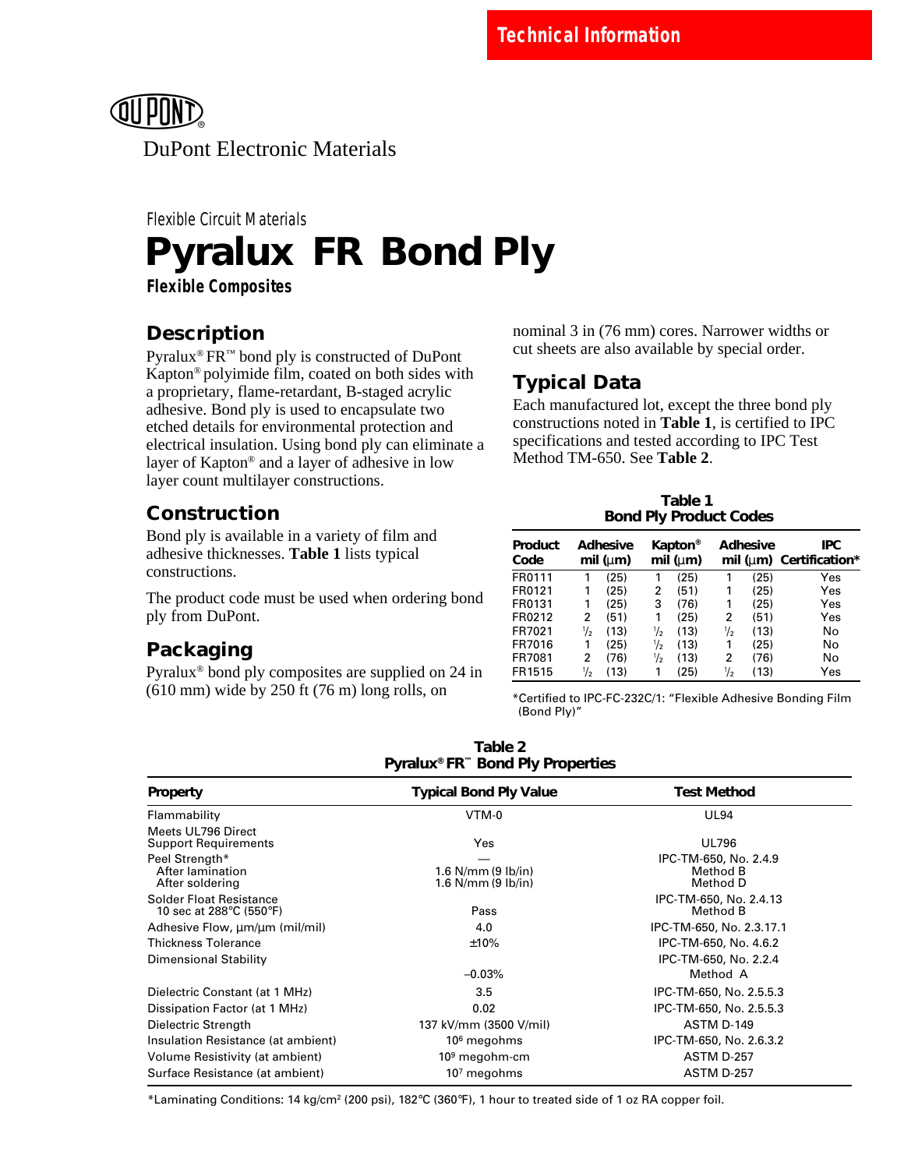

# Flexible Circuit Materials **Pyralux® FR<sup>™</sup> Bond Ply**

**Flexible Composites**

## **Description**

Pyralux® FR™ bond ply is constructed of DuPont Kapton® polyimide film, coated on both sides with a proprietary, flame-retardant, B-staged acrylic adhesive. Bond ply is used to encapsulate two etched details for environmental protection and electrical insulation. Using bond ply can eliminate a layer of Kapton® and a layer of adhesive in low layer count multilayer constructions.

## **Construction**

Bond ply is available in a variety of film and adhesive thicknesses. **Table 1** lists typical constructions.

The product code must be used when ordering bond ply from DuPont.

# **Packaging**

Pyralux® bond ply composites are supplied on 24 in (610 mm) wide by 250 ft (76 m) long rolls, on

nominal 3 in (76 mm) cores. Narrower widths or cut sheets are also available by special order.

# **Typical Data**

Each manufactured lot, except the three bond ply constructions noted in **Table 1**, is certified to IPC specifications and tested according to IPC Test Method TM-650. See **Table 2**.

| Table 1                       |
|-------------------------------|
| <b>Bond Ply Product Codes</b> |

| Product<br>Code | <b>Adhesive</b><br>mil ( $\mu$ m) |      | Kapton <sup>®</sup><br>mil (um) |      |   | <b>Adhesive</b> | <b>IPC</b><br>mil ( $\mu$ m) Certification* |
|-----------------|-----------------------------------|------|---------------------------------|------|---|-----------------|---------------------------------------------|
| FR0111          | 1                                 | (25) | 1                               | (25) | 1 | (25)            | Yes                                         |
| FR0121          | 1                                 | (25) | 2                               | (51) | 1 | (25)            | Yes                                         |
| FR0131          | 1                                 | (25) | 3                               | (76) | 1 | (25)            | Yes                                         |
| FR0212          | 2                                 | (51) | 1                               | (25) | 2 | (51)            | Yes                                         |
| FR7021          | 1/2                               | (13) | ⅓                               | (13) | ⅓ | (13)            | No                                          |
| FR7016          | 1                                 | (25) | $\frac{1}{2}$                   | (13) | 1 | (25)            | No                                          |
| FR7081          | 2                                 | (76) | $\frac{1}{2}$                   | (13) | 2 | (76)            | No                                          |
| FR1515          | $\frac{1}{2}$                     | (13) | 1                               | (25) | ⅓ | (13)            | Yes                                         |

\*Certified to IPC-FC-232C/1: "Flexible Adhesive Bonding Film (Bond Ply)"

| Pyralux®FR™ Bond Ply Properties                           |                                                    |                                               |  |  |
|-----------------------------------------------------------|----------------------------------------------------|-----------------------------------------------|--|--|
| <b>Property</b>                                           | <b>Typical Bond Ply Value</b>                      | <b>Test Method</b>                            |  |  |
| Flammability                                              | VTM-0                                              | <b>UL94</b>                                   |  |  |
| Meets UL796 Direct<br><b>Support Requirements</b>         | Yes                                                | <b>UL796</b>                                  |  |  |
| Peel Strength*<br>After lamination<br>After soldering     | 1.6 $N/mm$ (9 $lb/in$ )<br>1.6 $N/mm$ (9 $lb/in$ ) | IPC-TM-650, No. 2.4.9<br>Method B<br>Method D |  |  |
| <b>Solder Float Resistance</b><br>10 sec at 288°C (550°F) | Pass                                               | IPC-TM-650, No. 2.4.13<br>Method B            |  |  |
| Adhesive Flow, $\mu$ m/ $\mu$ m (mil/mil)                 | 4.0                                                | IPC-TM-650, No. 2.3.17.1                      |  |  |
| <b>Thickness Tolerance</b>                                | ±10%                                               | IPC-TM-650, No. 4.6.2                         |  |  |
| Dimensional Stability                                     |                                                    | IPC-TM-650, No. 2.2.4                         |  |  |
|                                                           | $-0.03%$                                           | Method A                                      |  |  |
| Dielectric Constant (at 1 MHz)                            | 3.5                                                | IPC-TM-650, No. 2.5.5.3                       |  |  |
| Dissipation Factor (at 1 MHz)                             | 0.02                                               | IPC-TM-650, No. 2.5.5.3                       |  |  |
| Dielectric Strength                                       | 137 kV/mm (3500 V/mil)                             | ASTM D-149                                    |  |  |
| Insulation Resistance (at ambient)                        | 10 <sup>6</sup> megohms                            | IPC-TM-650, No. 2.6.3.2                       |  |  |
| Volume Resistivity (at ambient)                           | $109$ megohm-cm                                    | ASTM D-257                                    |  |  |
| Surface Resistance (at ambient)                           | $107$ megohms                                      | <b>ASTM D-257</b>                             |  |  |

**Table 2 Pyralux® FR™ Bond Ply Properties**

\*Laminating Conditions: 14 kg/cm2 (200 psi), 182°C (360°F), 1 hour to treated side of 1 oz RA copper foil.